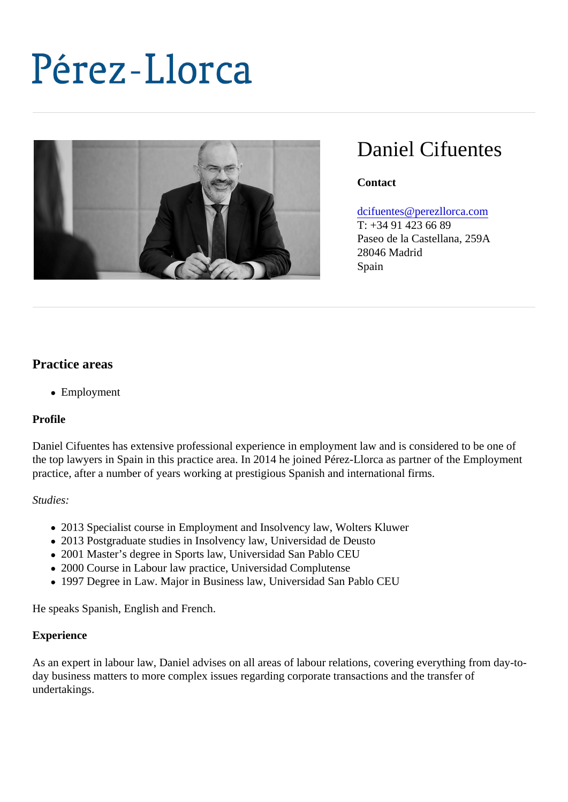# Daniel Cifuentes

**Contact** 

#### [dcifuentes@perezllorca.co](mailto:dcifuentes@perezllorca.com)m

T: +34 91 423 66 89 Paseo de la Castellana, 259A 28046 Madrid Spain

## Practice areas

Employment

#### Profile

Daniel Cifuentes has extensive professional experience in employment law and is considered to be one of the top lawyers in Spain in this practice area. In 2014 he joined Pérez-Llorca as partner of the Employmer practice, after a number of years working at prestigious Spanish and international firms.

#### Studies:

- 2013 Specialist course in Employment and Insolvency law, Wolters Kluwer
- 2013 Postgraduate studies in Insolvency law, Universidad de Deusto
- 2001 Master's degree in Sports law, Universidad San Pablo CEU
- 2000 Course in Labour law practice, Universidad Complutense
- 1997 Degree in Law. Major in Business law, Universidad San Pablo CEU

He speaks Spanish, English and French.

#### Experience

As an expert in labour law, Daniel advises on all areas of labour relations, covering everything from day-today business matters to more complex issues regarding corporate transactions and the transfer of undertakings.